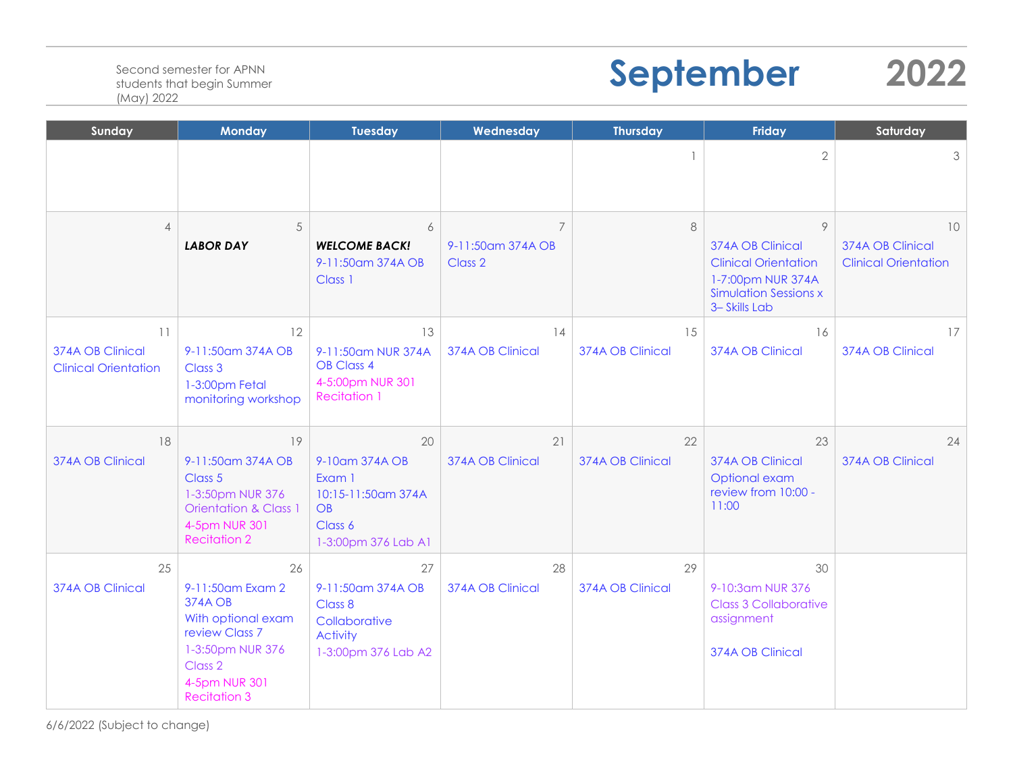## **September 2022**

| Sunday                                                | <b>Monday</b>                                                                                                                                                      | <b>Tuesday</b>                                                                                | Wednesday                          | <b>Thursday</b>          | <b>Friday</b>                                                                                                             | Saturday                                              |
|-------------------------------------------------------|--------------------------------------------------------------------------------------------------------------------------------------------------------------------|-----------------------------------------------------------------------------------------------|------------------------------------|--------------------------|---------------------------------------------------------------------------------------------------------------------------|-------------------------------------------------------|
|                                                       |                                                                                                                                                                    |                                                                                               |                                    | $\overline{\phantom{a}}$ | $\overline{2}$                                                                                                            | 3                                                     |
| $\overline{4}$                                        | 5<br><b>LABOR DAY</b>                                                                                                                                              | 6<br><b>WELCOME BACK!</b><br>9-11:50am 374A OB<br>Class 1                                     | 7<br>9-11:50 am 374A OB<br>Class 2 | $\,8\,$                  | 9<br>374A OB Clinical<br><b>Clinical Orientation</b><br>1-7:00pm NUR 374A<br><b>Simulation Sessions x</b><br>3-Skills Lab | 10<br>374A OB Clinical<br><b>Clinical Orientation</b> |
| 11<br>374A OB Clinical<br><b>Clinical Orientation</b> | 12<br>9-11:50am 374A OB<br>Class 3<br>1-3:00pm Fetal<br>monitoring workshop                                                                                        | 13<br>9-11:50am NUR 374A<br><b>OB Class 4</b><br>4-5:00pm NUR 301<br><b>Recitation 1</b>      | 14<br>374A OB Clinical             | 15<br>374A OB Clinical   | 16<br>374A OB Clinical                                                                                                    | 17<br>374A OB Clinical                                |
| 18<br>374A OB Clinical                                | 19<br>9-11:50am 374A OB<br>Class 5<br>1-3:50pm NUR 376<br><b>Orientation &amp; Class 1</b><br>4-5pm NUR 301<br><b>Recitation 2</b>                                 | 20<br>9-10am 374A OB<br>Exam 1<br>10:15-11:50am 374A<br>OB<br>Class 6<br>1-3:00pm 376 Lab A1  | 21<br>374A OB Clinical             | 22<br>374A OB Clinical   | 23<br>374A OB Clinical<br>Optional exam<br>review from 10:00 -<br>11:00                                                   | 24<br>374A OB Clinical                                |
| 25<br>374A OB Clinical                                | 26<br>9-11:50am Exam 2<br><b>374A OB</b><br>With optional exam<br>review Class 7<br>1-3:50pm NUR 376<br>Class <sub>2</sub><br>4-5pm NUR 301<br><b>Recitation 3</b> | 27<br>9-11:50am 374A OB<br>Class 8<br>Collaborative<br><b>Activity</b><br>1-3:00pm 376 Lab A2 | 28<br>374A OB Clinical             | 29<br>374A OB Clinical   | 30<br>9-10:3am NUR 376<br><b>Class 3 Collaborative</b><br>assignment<br>374A OB Clinical                                  |                                                       |

6/6/2022 (Subject to change)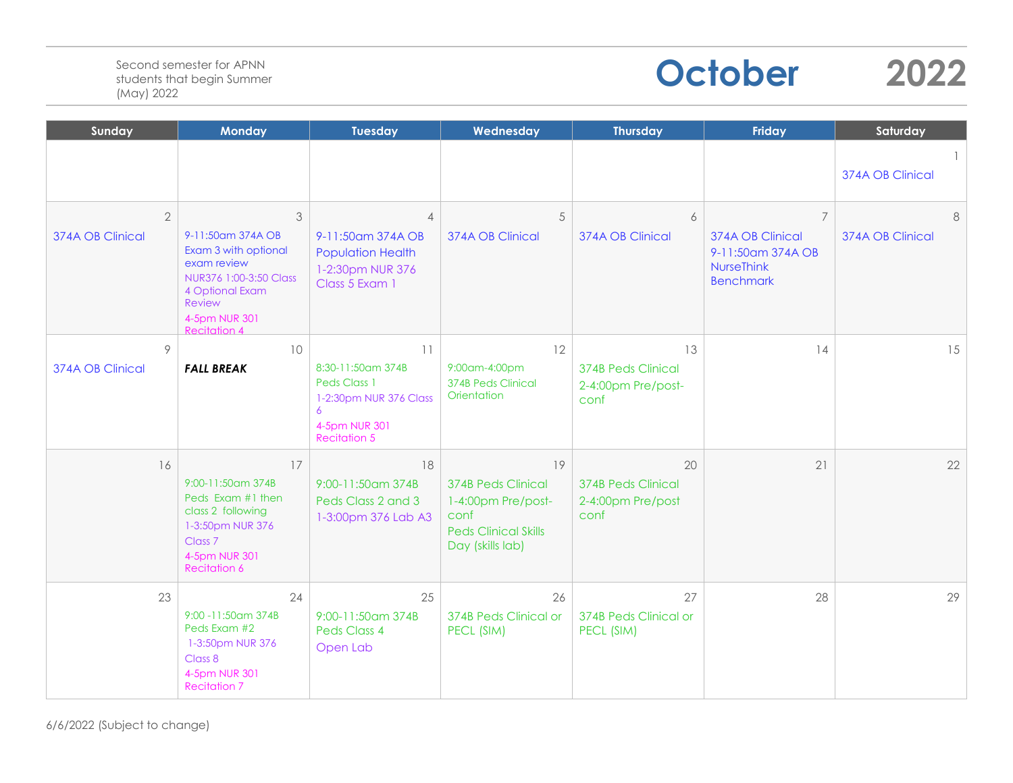## **October 2022**

| Sunday                             | <b>Monday</b>                                                                                                                                          | <b>Tuesday</b>                                                                                                 | Wednesday                                                                                                        | <b>Thursday</b>                                               | Friday                                                                                           | Saturday              |
|------------------------------------|--------------------------------------------------------------------------------------------------------------------------------------------------------|----------------------------------------------------------------------------------------------------------------|------------------------------------------------------------------------------------------------------------------|---------------------------------------------------------------|--------------------------------------------------------------------------------------------------|-----------------------|
|                                    |                                                                                                                                                        |                                                                                                                |                                                                                                                  |                                                               |                                                                                                  | 374A OB Clinical      |
| $\overline{2}$<br>374A OB Clinical | 3<br>9-11:50 am 374A OB<br>Exam 3 with optional<br>exam review<br>NUR376 1:00-3:50 Class<br>4 Optional Exam<br>Review<br>4-5pm NUR 301<br>Recitation 4 | $\overline{4}$<br>9-11:50 am 374A OB<br><b>Population Health</b><br>1-2:30pm NUR 376<br>Class 5 Exam 1         | 5<br>374A OB Clinical                                                                                            | 6<br>374A OB Clinical                                         | $\overline{7}$<br>374A OB Clinical<br>9-11:50am 374A OB<br><b>NurseThink</b><br><b>Benchmark</b> | 8<br>374A OB Clinical |
| 9<br>374A OB Clinical              | 10<br><b>FALL BREAK</b>                                                                                                                                | 11<br>8:30-11:50am 374B<br>Peds Class 1<br>1-2:30pm NUR 376 Class<br>6<br>4-5pm NUR 301<br><b>Recitation 5</b> | 12<br>9:00am-4:00pm<br>374B Peds Clinical<br>Orientation                                                         | 13<br><b>374B Peds Clinical</b><br>2-4:00pm Pre/post-<br>conf | 14                                                                                               | 15                    |
| 16                                 | 17<br>9:00-11:50am 374B<br>Peds Exam #1 then<br>class 2 following<br>1-3:50pm NUR 376<br>Class <sub>7</sub><br>4-5pm NUR 301<br><b>Recitation 6</b>    | 18<br>9:00-11:50am 374B<br>Peds Class 2 and 3<br>1-3:00pm 376 Lab A3                                           | 19<br><b>374B Peds Clinical</b><br>1-4:00pm Pre/post-<br>conf<br><b>Peds Clinical Skills</b><br>Day (skills lab) | 20<br><b>374B Peds Clinical</b><br>2-4:00pm Pre/post<br>conf  | 21                                                                                               | 22                    |
| 23                                 | 24<br>9:00 - 11:50 am 374B<br>Peds Exam #2<br>1-3:50pm NUR 376<br>Class 8<br>4-5pm NUR 301<br><b>Recitation 7</b>                                      | 25<br>9:00-11:50am 374B<br>Peds Class 4<br>Open Lab                                                            | 26<br>374B Peds Clinical or<br>PECL (SIM)                                                                        | 27<br>374B Peds Clinical or<br>PECL (SIM)                     | 28                                                                                               | 29                    |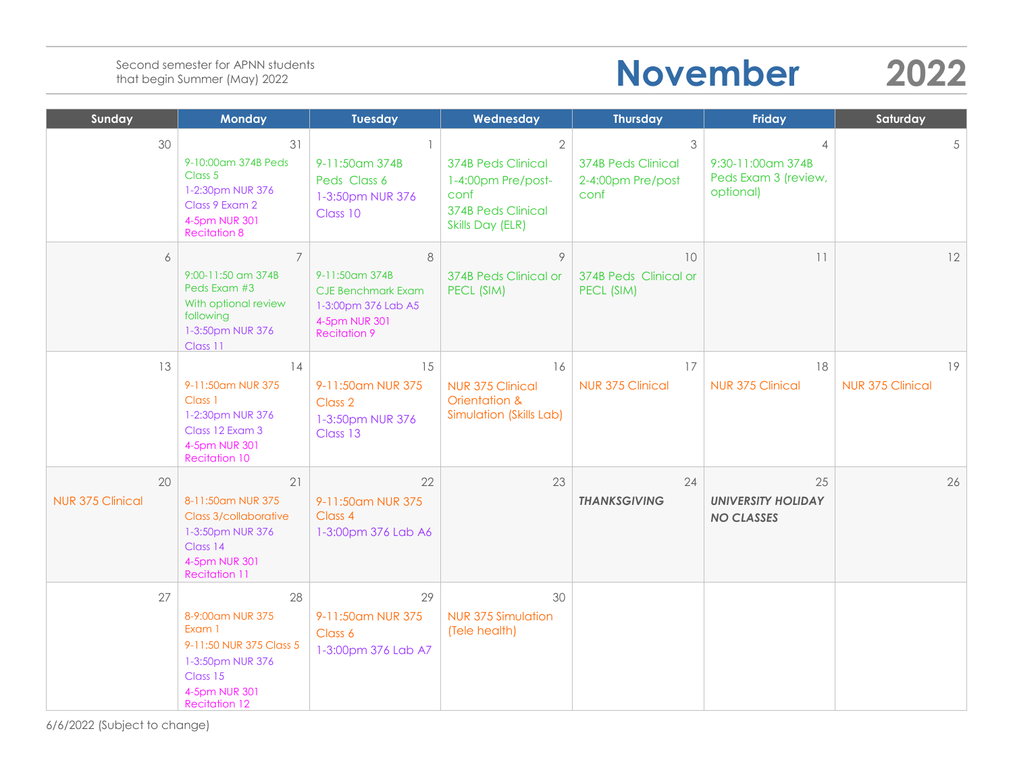## **November 2022**

| Sunday                        | <b>Monday</b>                                                                                                                        | <b>Tuesday</b>                                                                                                  | Wednesday                                                                                                                | <b>Thursday</b>                                             | <b>Friday</b>                                                            | Saturday                      |
|-------------------------------|--------------------------------------------------------------------------------------------------------------------------------------|-----------------------------------------------------------------------------------------------------------------|--------------------------------------------------------------------------------------------------------------------------|-------------------------------------------------------------|--------------------------------------------------------------------------|-------------------------------|
| 30                            | 31<br>9-10:00am 374B Peds<br>Class 5<br>1-2:30pm NUR 376<br>Class 9 Exam 2<br>4-5pm NUR 301<br><b>Recitation 8</b>                   | $\overline{1}$<br>9-11:50 cm 374B<br>Peds Class 6<br>1-3:50pm NUR 376<br>Class 10                               | $\mathbf{2}$<br><b>374B Peds Clinical</b><br>1-4:00pm Pre/post-<br>conf<br><b>374B Peds Clinical</b><br>Skills Day (ELR) | 3<br><b>374B Peds Clinical</b><br>2-4:00pm Pre/post<br>conf | $\overline{4}$<br>9:30-11:00am 374B<br>Peds Exam 3 (review,<br>optional) | 5                             |
| 6                             | $\overline{7}$<br>9:00-11:50 am 374B<br>Peds Exam #3<br>With optional review<br>following<br>1-3:50pm NUR 376<br>Class 11            | 8<br>9-11:50am 374B<br><b>CJE Benchmark Exam</b><br>1-3:00pm 376 Lab A5<br>4-5pm NUR 301<br><b>Recitation 9</b> | 9<br>374B Peds Clinical or<br>PECL (SIM)                                                                                 | 10<br>374B Peds Clinical or<br>PECL (SIM)                   | 11                                                                       | 12                            |
| 13                            | 14<br>9-11:50am NUR 375<br>Class 1<br>1-2:30pm NUR 376<br>Class 12 Exam 3<br>4-5pm NUR 301<br><b>Recitation 10</b>                   | 15<br>9-11:50am NUR 375<br>Class 2<br>1-3:50pm NUR 376<br>Class 13                                              | 16<br><b>NUR 375 Clinical</b><br>Orientation &<br>Simulation (Skills Lab)                                                | 17<br>NUR 375 Clinical                                      | 18<br><b>NUR 375 Clinical</b>                                            | 19<br><b>NUR 375 Clinical</b> |
| 20<br><b>NUR 375 Clinical</b> | 21<br>8-11:50am NUR 375<br>Class 3/collaborative<br>1-3:50pm NUR 376<br>Class 14<br>4-5pm NUR 301<br><b>Recitation 11</b>            | 22<br>9-11:50am NUR 375<br>Class 4<br>1-3:00pm 376 Lab A6                                                       | 23                                                                                                                       | 24<br><b>THANKSGIVING</b>                                   | 25<br><b>UNIVERSITY HOLIDAY</b><br><b>NO CLASSES</b>                     | 26                            |
| 27                            | 28<br>8-9:00am NUR 375<br>Exam 1<br>9-11:50 NUR 375 Class 5<br>1-3:50pm NUR 376<br>Class 15<br>4-5pm NUR 301<br><b>Recitation 12</b> | 29<br>9-11:50am NUR 375<br>Class 6<br>1-3:00pm 376 Lab A7                                                       | 30<br><b>NUR 375 Simulation</b><br>(Tele health)                                                                         |                                                             |                                                                          |                               |

6/6/2022 (Subject to change)